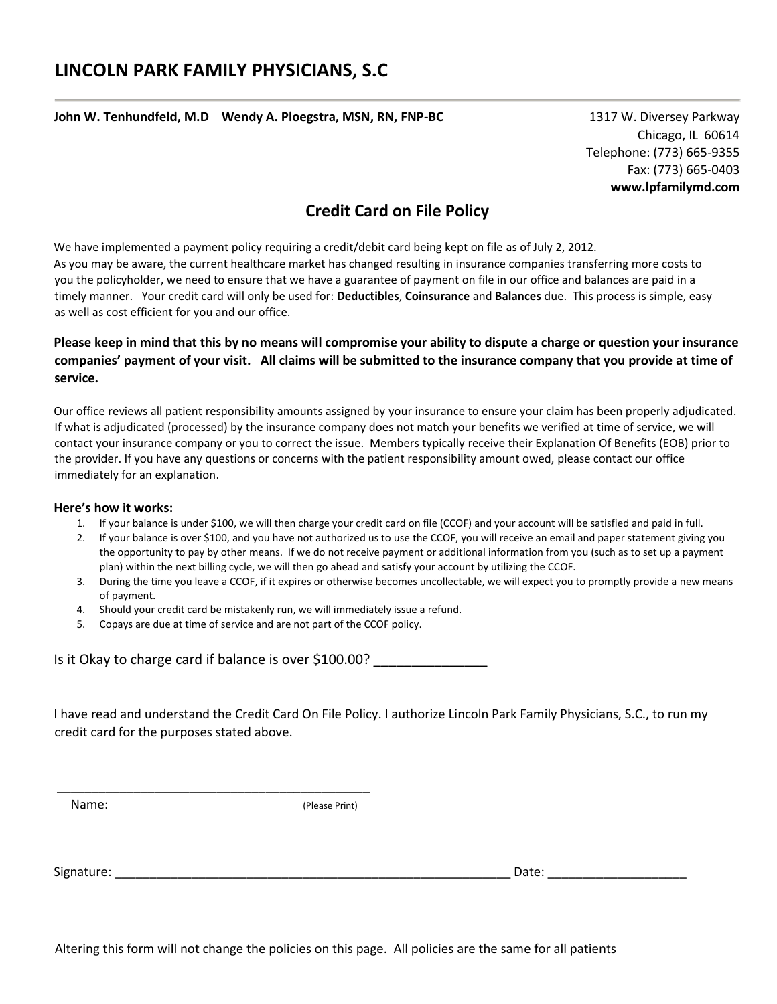**John W. Tenhundfeld, M.D Wendy A. Ploegstra, MSN, RN, FNP-BC** 1317 W. Diversey Parkway

 Chicago, IL 60614 Telephone: (773) 665-9355 Fax: (773) 665-0403 **www.lpfamilymd.com** 

## **Credit Card on File Policy**

We have implemented a payment policy requiring a credit/debit card being kept on file as of July 2, 2012. As you may be aware, the current healthcare market has changed resulting in insurance companies transferring more costs to you the policyholder, we need to ensure that we have a guarantee of payment on file in our office and balances are paid in a timely manner. Your credit card will only be used for: **Deductibles**, **Coinsurance** and **Balances** due. This process is simple, easy as well as cost efficient for you and our office.

## **Please keep in mind that this by no means will compromise your ability to dispute a charge or question your insurance companies' payment of your visit. All claims will be submitted to the insurance company that you provide at time of service.**

Our office reviews all patient responsibility amounts assigned by your insurance to ensure your claim has been properly adjudicated. If what is adjudicated (processed) by the insurance company does not match your benefits we verified at time of service, we will contact your insurance company or you to correct the issue. Members typically receive their Explanation Of Benefits (EOB) prior to the provider. If you have any questions or concerns with the patient responsibility amount owed, please contact our office immediately for an explanation.

## **Here's how it works:**

- 1. If your balance is under \$100, we will then charge your credit card on file (CCOF) and your account will be satisfied and paid in full.
- 2. If your balance is over \$100, and you have not authorized us to use the CCOF, you will receive an email and paper statement giving you the opportunity to pay by other means. If we do not receive payment or additional information from you (such as to set up a payment plan) within the next billing cycle, we will then go ahead and satisfy your account by utilizing the CCOF.
- 3. During the time you leave a CCOF, if it expires or otherwise becomes uncollectable, we will expect you to promptly provide a new means of payment.
- 4. Should your credit card be mistakenly run, we will immediately issue a refund.
- 5. Copays are due at time of service and are not part of the CCOF policy.

\_\_\_\_\_\_\_\_\_\_\_\_\_\_\_\_\_\_\_\_\_\_\_\_\_\_\_\_\_\_\_\_\_\_\_\_\_\_\_\_\_\_\_\_\_

|  |  | Is it Okay to charge card if balance is over \$100.00? |  |
|--|--|--------------------------------------------------------|--|
|--|--|--------------------------------------------------------|--|

I have read and understand the Credit Card On File Policy. I authorize Lincoln Park Family Physicians, S.C., to run my credit card for the purposes stated above.

Name: (Please Print)

Signature: \_\_\_\_\_\_\_\_\_\_\_\_\_\_\_\_\_\_\_\_\_\_\_\_\_\_\_\_\_\_\_\_\_\_\_\_\_\_\_\_\_\_\_\_\_\_\_\_\_\_\_\_\_\_\_\_\_ Date: \_\_\_\_\_\_\_\_\_\_\_\_\_\_\_\_\_\_\_\_

Altering this form will not change the policies on this page. All policies are the same for all patients